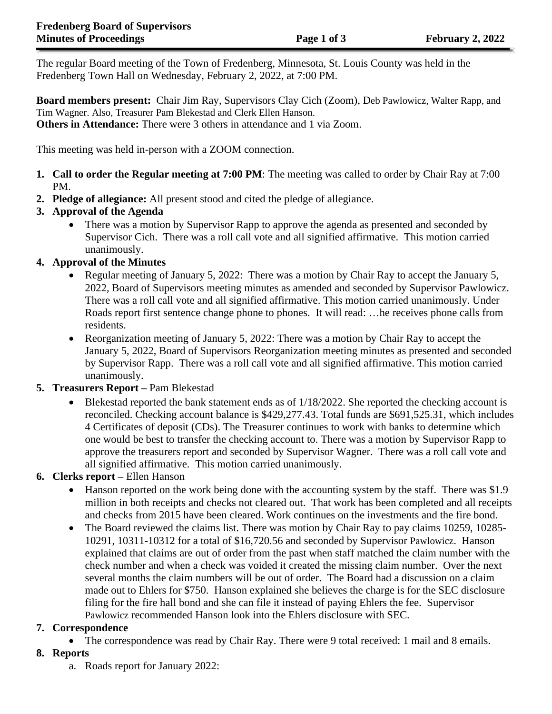The regular Board meeting of the Town of Fredenberg, Minnesota, St. Louis County was held in the Fredenberg Town Hall on Wednesday, February 2, 2022, at 7:00 PM.

**Board members present:** Chair Jim Ray, Supervisors Clay Cich (Zoom), Deb Pawlowicz, Walter Rapp, and Tim Wagner. Also, Treasurer Pam Blekestad and Clerk Ellen Hanson. **Others in Attendance:** There were 3 others in attendance and 1 via Zoom.

This meeting was held in-person with a ZOOM connection.

- **1. Call to order the Regular meeting at 7:00 PM**: The meeting was called to order by Chair Ray at 7:00 PM.
- **2. Pledge of allegiance:** All present stood and cited the pledge of allegiance.

# **3. Approval of the Agenda**

• There was a motion by Supervisor Rapp to approve the agenda as presented and seconded by Supervisor Cich. There was a roll call vote and all signified affirmative. This motion carried unanimously.

## **4. Approval of the Minutes**

- Regular meeting of January 5, 2022: There was a motion by Chair Ray to accept the January 5, 2022, Board of Supervisors meeting minutes as amended and seconded by Supervisor Pawlowicz. There was a roll call vote and all signified affirmative. This motion carried unanimously. Under Roads report first sentence change phone to phones. It will read: …he receives phone calls from residents.
- Reorganization meeting of January 5, 2022: There was a motion by Chair Ray to accept the January 5, 2022, Board of Supervisors Reorganization meeting minutes as presented and seconded by Supervisor Rapp. There was a roll call vote and all signified affirmative. This motion carried unanimously.

## **5. Treasurers Report –** Pam Blekestad

• Blekestad reported the bank statement ends as of 1/18/2022. She reported the checking account is reconciled. Checking account balance is \$429,277.43. Total funds are \$691,525.31, which includes 4 Certificates of deposit (CDs). The Treasurer continues to work with banks to determine which one would be best to transfer the checking account to. There was a motion by Supervisor Rapp to approve the treasurers report and seconded by Supervisor Wagner. There was a roll call vote and all signified affirmative. This motion carried unanimously.

## **6. Clerks report –** Ellen Hanson

- Hanson reported on the work being done with the accounting system by the staff. There was \$1.9 million in both receipts and checks not cleared out. That work has been completed and all receipts and checks from 2015 have been cleared. Work continues on the investments and the fire bond.
- The Board reviewed the claims list. There was motion by Chair Ray to pay claims 10259, 10285-10291, 10311-10312 for a total of \$16,720.56 and seconded by Supervisor Pawlowicz. Hanson explained that claims are out of order from the past when staff matched the claim number with the check number and when a check was voided it created the missing claim number. Over the next several months the claim numbers will be out of order. The Board had a discussion on a claim made out to Ehlers for \$750. Hanson explained she believes the charge is for the SEC disclosure filing for the fire hall bond and she can file it instead of paying Ehlers the fee. Supervisor Pawlowicz recommended Hanson look into the Ehlers disclosure with SEC.

## **7. Correspondence**

• The correspondence was read by Chair Ray. There were 9 total received: 1 mail and 8 emails.

## **8. Reports**

a. Roads report for January 2022: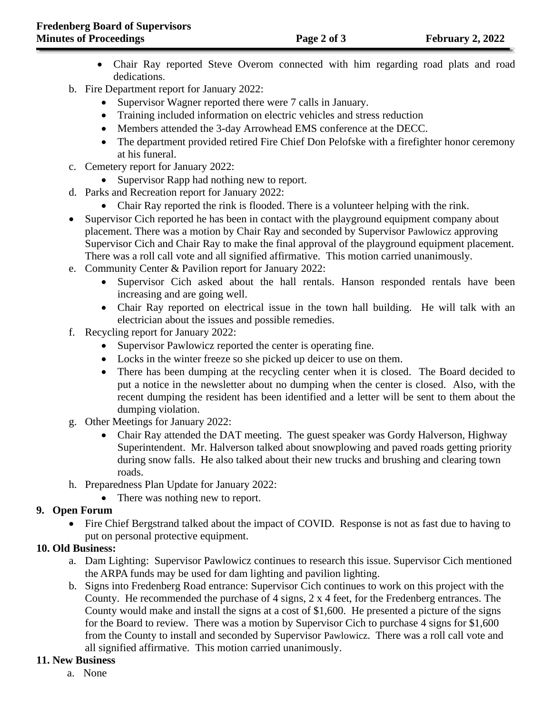- Chair Ray reported Steve Overom connected with him regarding road plats and road dedications.
- b. Fire Department report for January 2022:
	- Supervisor Wagner reported there were 7 calls in January.
	- Training included information on electric vehicles and stress reduction
	- Members attended the 3-day Arrowhead EMS conference at the DECC.
	- The department provided retired Fire Chief Don Pelofske with a firefighter honor ceremony at his funeral.
- c. Cemetery report for January 2022:
	- Supervisor Rapp had nothing new to report.
- d. Parks and Recreation report for January 2022:
	- Chair Ray reported the rink is flooded. There is a volunteer helping with the rink.
- Supervisor Cich reported he has been in contact with the playground equipment company about placement. There was a motion by Chair Ray and seconded by Supervisor Pawlowicz approving Supervisor Cich and Chair Ray to make the final approval of the playground equipment placement. There was a roll call vote and all signified affirmative. This motion carried unanimously.
- e. Community Center & Pavilion report for January 2022:
	- Supervisor Cich asked about the hall rentals. Hanson responded rentals have been increasing and are going well.
	- Chair Ray reported on electrical issue in the town hall building. He will talk with an electrician about the issues and possible remedies.
- f. Recycling report for January 2022:
	- Supervisor Pawlowicz reported the center is operating fine.
	- Locks in the winter freeze so she picked up deicer to use on them.
	- There has been dumping at the recycling center when it is closed. The Board decided to put a notice in the newsletter about no dumping when the center is closed. Also, with the recent dumping the resident has been identified and a letter will be sent to them about the dumping violation.
- g. Other Meetings for January 2022:
	- Chair Ray attended the DAT meeting. The guest speaker was Gordy Halverson, Highway Superintendent. Mr. Halverson talked about snowplowing and paved roads getting priority during snow falls. He also talked about their new trucks and brushing and clearing town roads.
- h. Preparedness Plan Update for January 2022:
	- There was nothing new to report.

# **9. Open Forum**

• Fire Chief Bergstrand talked about the impact of COVID. Response is not as fast due to having to put on personal protective equipment.

# **10. Old Business:**

- a. Dam Lighting: Supervisor Pawlowicz continues to research this issue. Supervisor Cich mentioned the ARPA funds may be used for dam lighting and pavilion lighting.
- b. Signs into Fredenberg Road entrance: Supervisor Cich continues to work on this project with the County. He recommended the purchase of 4 signs, 2 x 4 feet, for the Fredenberg entrances. The County would make and install the signs at a cost of \$1,600. He presented a picture of the signs for the Board to review. There was a motion by Supervisor Cich to purchase 4 signs for \$1,600 from the County to install and seconded by Supervisor Pawlowicz. There was a roll call vote and all signified affirmative. This motion carried unanimously.

# **11. New Business**

a. None